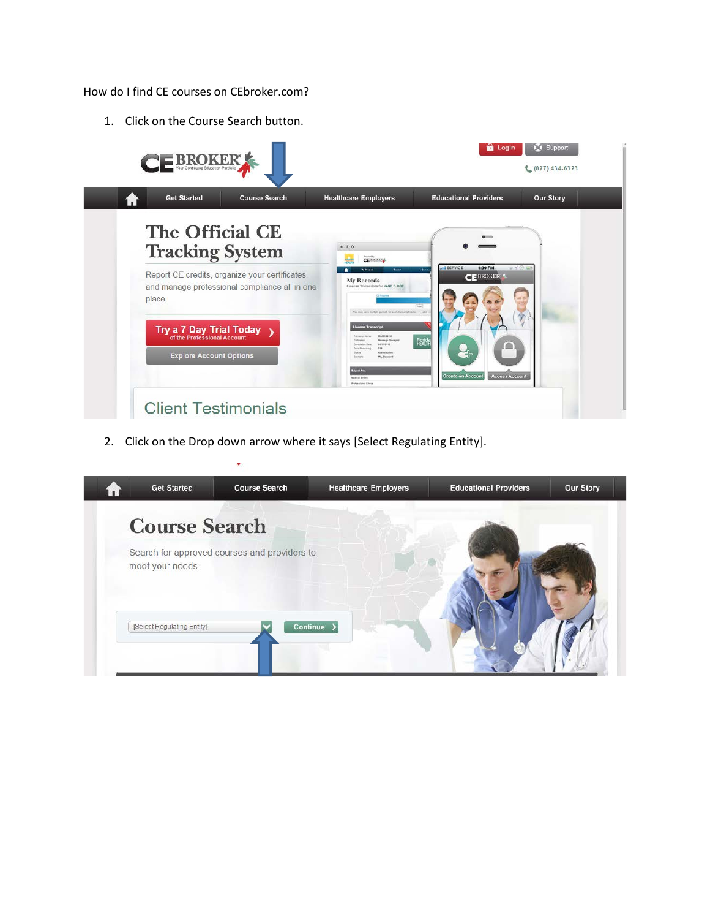How do I find CE courses on CEbroker.com?

1. Click on the Course Search button.



2. Click on the Drop down arrow where it says [Select Regulating Entity].

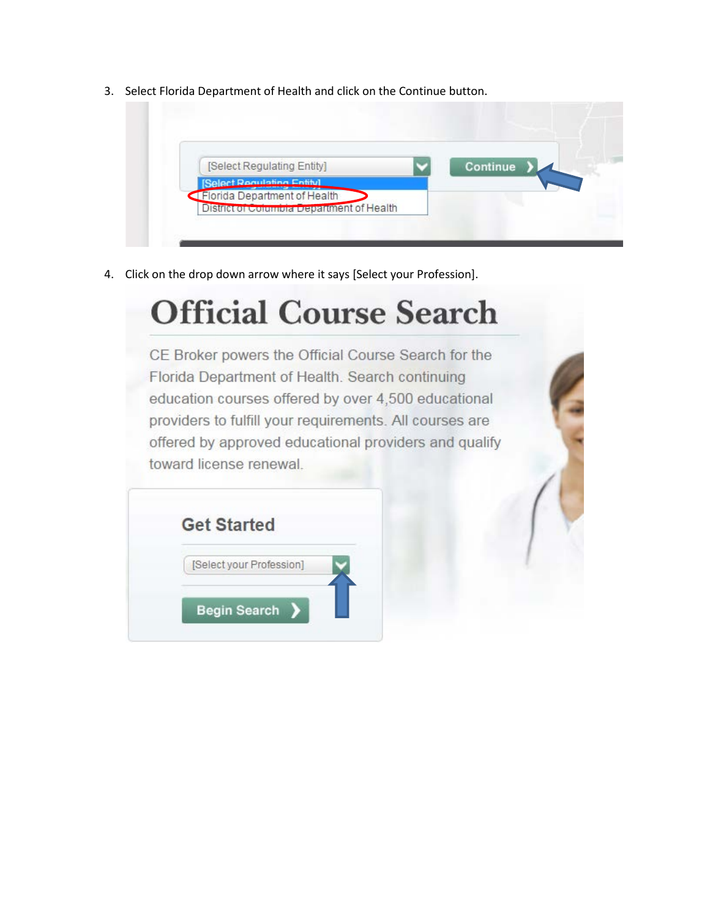3. Select Florida Department of Health and click on the Continue button.

| [Select Regulating Entity]                                                | Continue |  |
|---------------------------------------------------------------------------|----------|--|
| Select Rogulation Entitul                                                 |          |  |
| Florida Department of Health<br>District of Columbia Department of Health |          |  |

4. Click on the drop down arrow where it says [Select your Profession].

## **Official Course Search**

CE Broker powers the Official Course Search for the Florida Department of Health. Search continuing education courses offered by over 4,500 educational providers to fulfill your requirements. All courses are offered by approved educational providers and qualify toward license renewal.

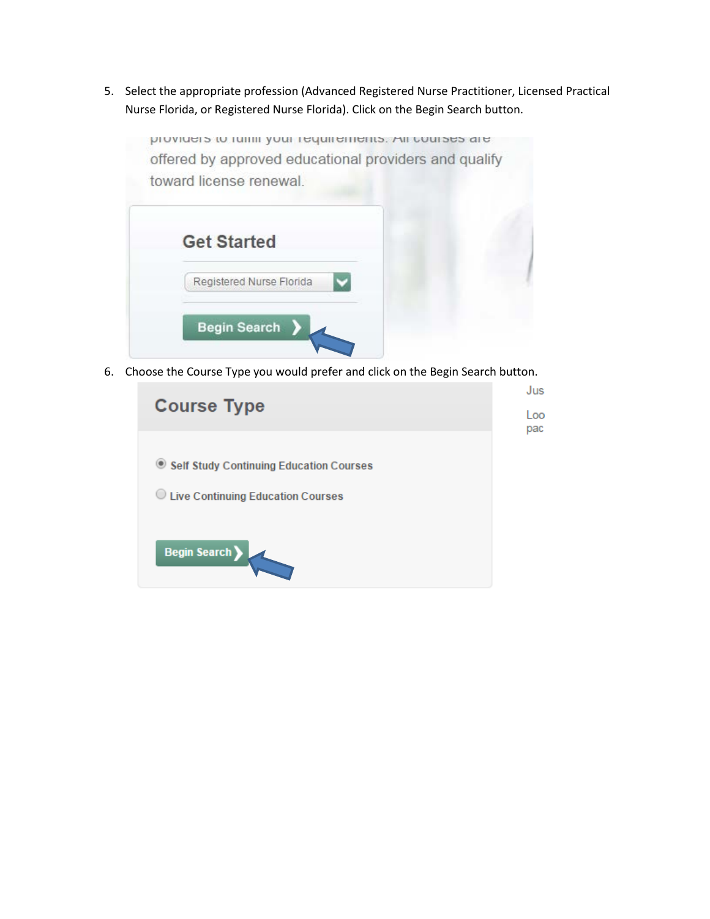5. Select the appropriate profession (Advanced Registered Nurse Practitioner, Licensed Practical Nurse Florida, or Registered Nurse Florida). Click on the Begin Search button.



6. Choose the Course Type you would prefer and click on the Begin Search button.

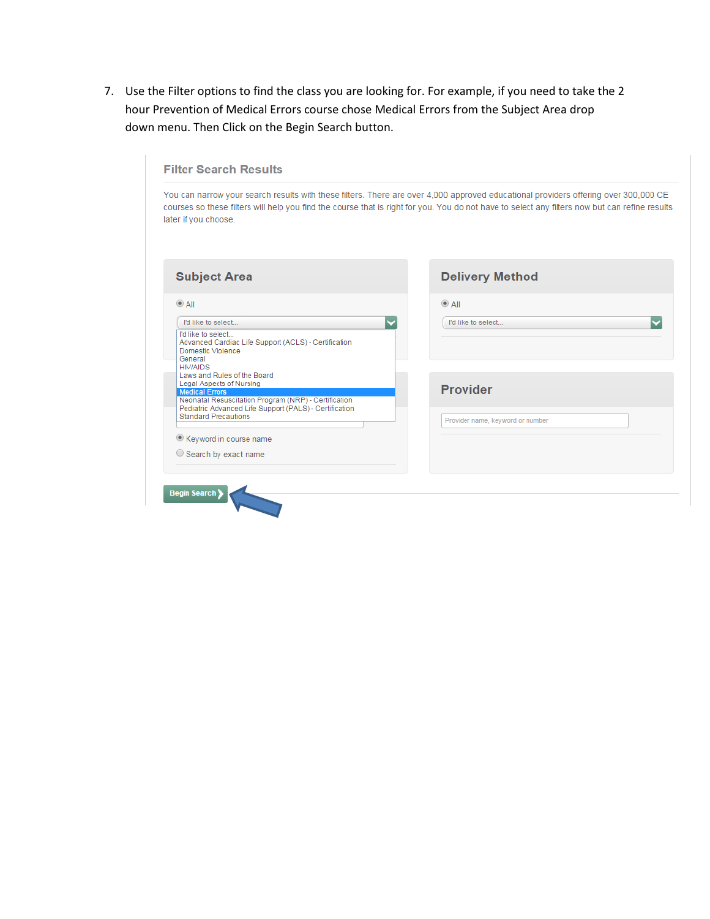7. Use the Filter options to find the class you are looking for. For example, if you need to take the 2 hour Prevention of Medical Errors course chose Medical Errors from the Subject Area drop down menu. Then Click on the Begin Search button.

| later if you choose.                                                                                                                                         | courses so these filters will help you find the course that is right for you. You do not have to select any filters now but can refine results |
|--------------------------------------------------------------------------------------------------------------------------------------------------------------|------------------------------------------------------------------------------------------------------------------------------------------------|
| <b>Subject Area</b>                                                                                                                                          | <b>Delivery Method</b>                                                                                                                         |
| $^{\circ}$ All                                                                                                                                               | $^{\circ}$ All                                                                                                                                 |
| I'd like to select                                                                                                                                           | I'd like to select                                                                                                                             |
| I'd like to select<br>Advanced Cardiac Life Support (ACLS) - Certification<br>Domestic Violence<br>General<br><b>HIV/AIDS</b><br>Laws and Rules of the Board |                                                                                                                                                |
| Legal Aspects of Nursing<br><b>Medical Errors</b><br>Neonatal Resuscitation Program (NRP) - Certification                                                    | <b>Provider</b>                                                                                                                                |
| Pediatric Advanced Life Support (PALS) - Certification<br><b>Standard Precautions</b>                                                                        | Provider name, keyword or number                                                                                                               |
| Keyword in course name                                                                                                                                       |                                                                                                                                                |
| $\circ$ Search by exact name                                                                                                                                 |                                                                                                                                                |